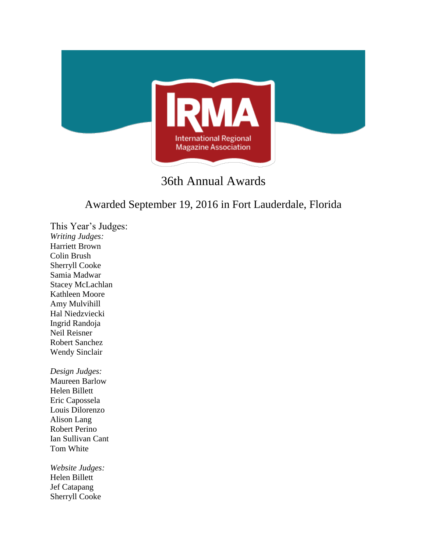

# 36th Annual Awards

## Awarded September 19, 2016 in Fort Lauderdale, Florida

This Year's Judges: *Writing Judges:* Harriett Brown Colin Brush Sherryll Cooke Samia Madwar Stacey McLachlan Kathleen Moore Amy Mulvihill Hal Niedzviecki Ingrid Randoja Neil Reisner Robert Sanchez Wendy Sinclair

*Design Judges:* Maureen Barlow Helen Billett Eric Capossela Louis Dilorenzo Alison Lang Robert Perino Ian Sullivan Cant Tom White

*Website Judges:* Helen Billett Jef Catapang Sherryll Cooke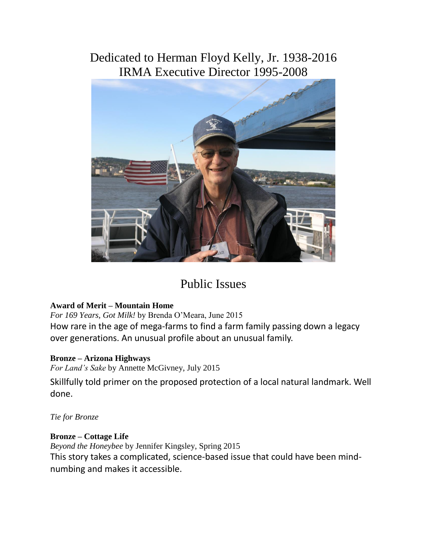## Dedicated to Herman Floyd Kelly, Jr. 1938-2016 IRMA Executive Director 1995-2008



# Public Issues

## **Award of Merit – Mountain Home**

*For 169 Years, Got Milk!* by Brenda O'Meara, June 2015 How rare in the age of mega-farms to find a farm family passing down a legacy over generations. An unusual profile about an unusual family.

## **Bronze – Arizona Highways**

*For Land's Sake* by Annette McGivney, July 2015

Skillfully told primer on the proposed protection of a local natural landmark. Well done.

*Tie for Bronze*

## **Bronze – Cottage Life**

*Beyond the Honeybee* by Jennifer Kingsley, Spring 2015 This story takes a complicated, science-based issue that could have been mindnumbing and makes it accessible.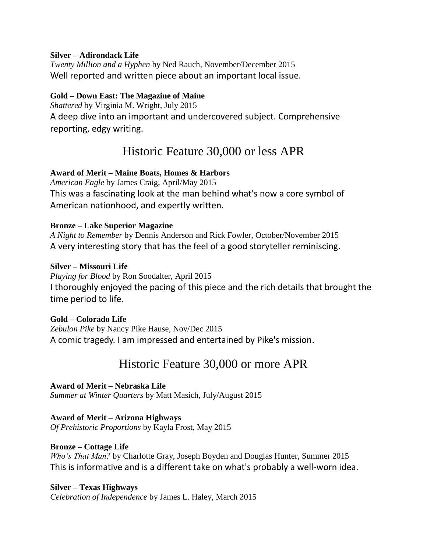#### **Silver – Adirondack Life**

*Twenty Million and a Hyphen* by Ned Rauch, November/December 2015 Well reported and written piece about an important local issue.

#### **Gold – Down East: The Magazine of Maine**

*Shattered* by Virginia M. Wright, July 2015 A deep dive into an important and undercovered subject. Comprehensive reporting, edgy writing.

## Historic Feature 30,000 or less APR

## **Award of Merit – Maine Boats, Homes & Harbors**

*American Eagle* by James Craig, April/May 2015 This was a fascinating look at the man behind what's now a core symbol of American nationhood, and expertly written.

#### **Bronze – Lake Superior Magazine**

*A Night to Remember* by Dennis Anderson and Rick Fowler, October/November 2015 A very interesting story that has the feel of a good storyteller reminiscing.

#### **Silver – Missouri Life**

*Playing for Blood* by Ron Soodalter, April 2015 I thoroughly enjoyed the pacing of this piece and the rich details that brought the time period to life.

**Gold – Colorado Life** *Zebulon Pike* by Nancy Pike Hause, Nov/Dec 2015 A comic tragedy. I am impressed and entertained by Pike's mission.

## Historic Feature 30,000 or more APR

**Award of Merit – Nebraska Life** *Summer at Winter Quarters* by Matt Masich, July/August 2015

**Award of Merit – Arizona Highways** *Of Prehistoric Proportions* by Kayla Frost, May 2015

## **Bronze – Cottage Life**

*Who's That Man?* by Charlotte Gray, Joseph Boyden and Douglas Hunter, Summer 2015 This is informative and is a different take on what's probably a well-worn idea.

#### **Silver – Texas Highways**

*Celebration of Independence* by James L. Haley, March 2015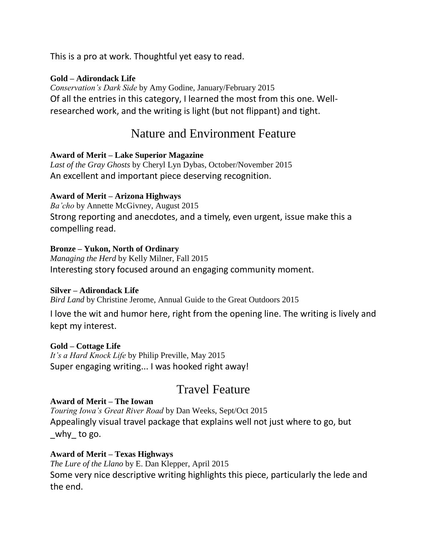This is a pro at work. Thoughtful yet easy to read.

## **Gold – Adirondack Life**

*Conservation's Dark Side* by Amy Godine, January/February 2015 Of all the entries in this category, I learned the most from this one. Wellresearched work, and the writing is light (but not flippant) and tight.

## Nature and Environment Feature

## **Award of Merit – Lake Superior Magazine**

*Last of the Gray Ghosts* by Cheryl Lyn Dybas, October/November 2015 An excellent and important piece deserving recognition.

## **Award of Merit – Arizona Highways**

*Ba'cho* by Annette McGivney, August 2015 Strong reporting and anecdotes, and a timely, even urgent, issue make this a compelling read.

## **Bronze – Yukon, North of Ordinary**

*Managing the Herd* by Kelly Milner, Fall 2015 Interesting story focused around an engaging community moment.

## **Silver – Adirondack Life**

*Bird Land* by Christine Jerome, Annual Guide to the Great Outdoors 2015

I love the wit and humor here, right from the opening line. The writing is lively and kept my interest.

## **Gold – Cottage Life**

*It's a Hard Knock Life* by Philip Preville, May 2015 Super engaging writing... I was hooked right away!

## Travel Feature

## **Award of Merit – The Iowan**

*Touring Iowa's Great River Road* by Dan Weeks, Sept/Oct 2015 Appealingly visual travel package that explains well not just where to go, but why to go.

## **Award of Merit – Texas Highways**

*The Lure of the Llano* by E. Dan Klepper, April 2015 Some very nice descriptive writing highlights this piece, particularly the lede and the end.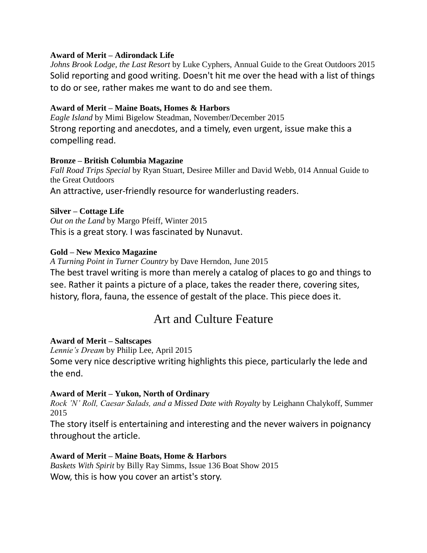#### **Award of Merit – Adirondack Life**

*Johns Brook Lodge, the Last Resort* by Luke Cyphers, Annual Guide to the Great Outdoors 2015 Solid reporting and good writing. Doesn't hit me over the head with a list of things to do or see, rather makes me want to do and see them.

#### **Award of Merit – Maine Boats, Homes & Harbors**

*Eagle Island* by Mimi Bigelow Steadman, November/December 2015 Strong reporting and anecdotes, and a timely, even urgent, issue make this a compelling read.

#### **Bronze – British Columbia Magazine**

*Fall Road Trips Special* by Ryan Stuart, Desiree Miller and David Webb, 014 Annual Guide to the Great Outdoors An attractive, user-friendly resource for wanderlusting readers.

#### **Silver – Cottage Life**

*Out on the Land* by Margo Pfeiff, Winter 2015 This is a great story. I was fascinated by Nunavut.

#### **Gold – New Mexico Magazine**

*A Turning Point in Turner Country* by Dave Herndon, June 2015 The best travel writing is more than merely a catalog of places to go and things to see. Rather it paints a picture of a place, takes the reader there, covering sites, history, flora, fauna, the essence of gestalt of the place. This piece does it.

## Art and Culture Feature

#### **Award of Merit – Saltscapes**

*Lennie's Dream* by Philip Lee, April 2015 Some very nice descriptive writing highlights this piece, particularly the lede and the end.

#### **Award of Merit – Yukon, North of Ordinary**

*Rock 'N' Roll, Caesar Salads, and a Missed Date with Royalty* by Leighann Chalykoff, Summer 2015

The story itself is entertaining and interesting and the never waivers in poignancy throughout the article.

#### **Award of Merit – Maine Boats, Home & Harbors**

*Baskets With Spirit* by Billy Ray Simms, Issue 136 Boat Show 2015 Wow, this is how you cover an artist's story.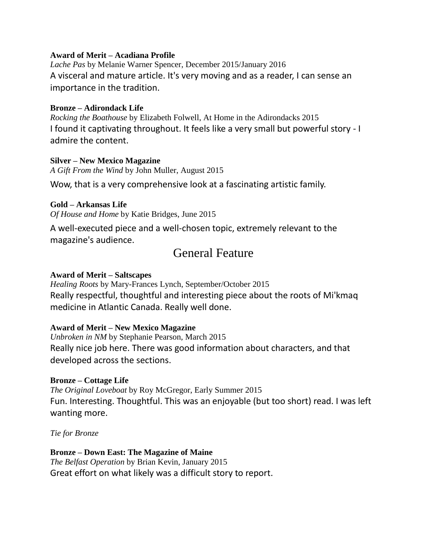#### **Award of Merit – Acadiana Profile**

*Lache Pas* by Melanie Warner Spencer, December 2015/January 2016 A visceral and mature article. It's very moving and as a reader, I can sense an importance in the tradition.

#### **Bronze – Adirondack Life**

*Rocking the Boathouse* by Elizabeth Folwell, At Home in the Adirondacks 2015 I found it captivating throughout. It feels like a very small but powerful story - I admire the content.

#### **Silver – New Mexico Magazine**

*A Gift From the Wind* by John Muller, August 2015

Wow, that is a very comprehensive look at a fascinating artistic family.

#### **Gold – Arkansas Life**

*Of House and Home* by Katie Bridges, June 2015

A well-executed piece and a well-chosen topic, extremely relevant to the magazine's audience.

## General Feature

#### **Award of Merit – Saltscapes**

*Healing Roots* by Mary-Frances Lynch, September/October 2015 Really respectful, thoughtful and interesting piece about the roots of Mi'kmaq medicine in Atlantic Canada. Really well done.

#### **Award of Merit – New Mexico Magazine**

*Unbroken in NM* by Stephanie Pearson, March 2015 Really nice job here. There was good information about characters, and that developed across the sections.

#### **Bronze – Cottage Life**

*The Original Loveboat* by Roy McGregor, Early Summer 2015 Fun. Interesting. Thoughtful. This was an enjoyable (but too short) read. I was left wanting more.

*Tie for Bronze*

#### **Bronze – Down East: The Magazine of Maine** *The Belfast Operation* by Brian Kevin, January 2015 Great effort on what likely was a difficult story to report.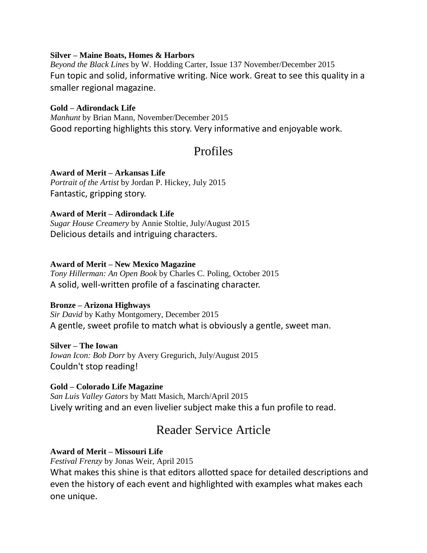#### **Silver – Maine Boats, Homes & Harbors**

*Beyond the Black Lines* by W. Hodding Carter, Issue 137 November/December 2015 Fun topic and solid, informative writing. Nice work. Great to see this quality in a smaller regional magazine.

#### **Gold – Adirondack Life**

*Manhunt* by Brian Mann, November/December 2015 Good reporting highlights this story. Very informative and enjoyable work.

## Profiles

**Award of Merit – Arkansas Life** *Portrait of the Artist* by Jordan P. Hickey, July 2015 Fantastic, gripping story.

#### **Award of Merit – Adirondack Life**

*Sugar House Creamery* by Annie Stoltie, July/August 2015 Delicious details and intriguing characters.

#### **Award of Merit – New Mexico Magazine**

*Tony Hillerman: An Open Book* by Charles C. Poling, October 2015 A solid, well-written profile of a fascinating character.

#### **Bronze – Arizona Highways**

*Sir David* by Kathy Montgomery, December 2015 A gentle, sweet profile to match what is obviously a gentle, sweet man.

#### **Silver – The Iowan**

*Iowan Icon: Bob Dorr* by Avery Gregurich, July/August 2015 Couldn't stop reading!

#### **Gold – Colorado Life Magazine**

*San Luis Valley Gators* by Matt Masich, March/April 2015 Lively writing and an even livelier subject make this a fun profile to read.

## Reader Service Article

#### **Award of Merit – Missouri Life**

*Festival Frenzy* by Jonas Weir, April 2015

What makes this shine is that editors allotted space for detailed descriptions and even the history of each event and highlighted with examples what makes each one unique.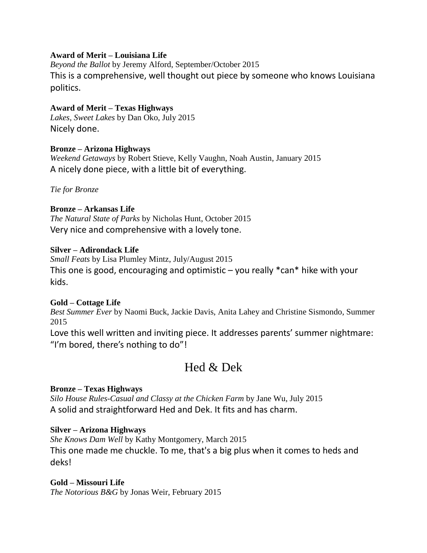#### **Award of Merit – Louisiana Life**

*Beyond the Ballot* by Jeremy Alford, September/October 2015 This is a comprehensive, well thought out piece by someone who knows Louisiana politics.

## **Award of Merit – Texas Highways**

*Lakes, Sweet Lakes* by Dan Oko, July 2015 Nicely done.

## **Bronze – Arizona Highways**

*Weekend Getaways* by Robert Stieve, Kelly Vaughn, Noah Austin, January 2015 A nicely done piece, with a little bit of everything.

*Tie for Bronze*

#### **Bronze – Arkansas Life**

*The Natural State of Parks* by Nicholas Hunt, October 2015 Very nice and comprehensive with a lovely tone.

#### **Silver – Adirondack Life**

*Small Feats* by Lisa Plumley Mintz, July/August 2015 This one is good, encouraging and optimistic  $-$  you really  $*$ can $*$  hike with your kids.

## **Gold – Cottage Life**

*Best Summer Ever* by Naomi Buck, Jackie Davis, Anita Lahey and Christine Sismondo, Summer 2015

Love this well written and inviting piece. It addresses parents' summer nightmare: "I'm bored, there's nothing to do"!

## Hed & Dek

## **Bronze – Texas Highways**

*Silo House Rules-Casual and Classy at the Chicken Farm* by Jane Wu, July 2015 A solid and straightforward Hed and Dek. It fits and has charm.

## **Silver – Arizona Highways**

*She Knows Dam Well* by Kathy Montgomery, March 2015 This one made me chuckle. To me, that's a big plus when it comes to heds and deks!

## **Gold – Missouri Life**

*The Notorious B&G* by Jonas Weir, February 2015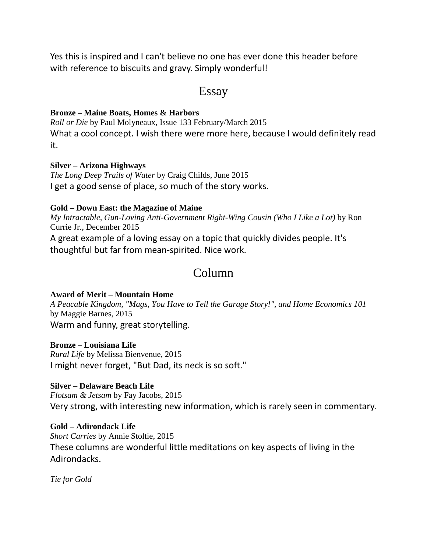Yes this is inspired and I can't believe no one has ever done this header before with reference to biscuits and gravy. Simply wonderful!

## Essay

#### **Bronze – Maine Boats, Homes & Harbors**

*Roll or Die* by Paul Molyneaux, Issue 133 February/March 2015 What a cool concept. I wish there were more here, because I would definitely read it.

#### **Silver – Arizona Highways**

*The Long Deep Trails of Water* by Craig Childs, June 2015 I get a good sense of place, so much of the story works.

#### **Gold – Down East: the Magazine of Maine**

*My Intractable, Gun-Loving Anti-Government Right-Wing Cousin (Who I Like a Lot)* by Ron Currie Jr., December 2015 A great example of a loving essay on a topic that quickly divides people. It's thoughtful but far from mean-spirited. Nice work.

## Column

## **Award of Merit – Mountain Home**

*A Peacable Kingdom, "Mags, You Have to Tell the Garage Story!", and Home Economics 101* by Maggie Barnes, 2015 Warm and funny, great storytelling.

**Bronze – Louisiana Life** *Rural Life* by Melissa Bienvenue, 2015 I might never forget, "But Dad, its neck is so soft."

## **Silver – Delaware Beach Life**

*Flotsam & Jetsam* by Fay Jacobs, 2015 Very strong, with interesting new information, which is rarely seen in commentary.

**Gold – Adirondack Life**

*Short Carries* by Annie Stoltie, 2015 These columns are wonderful little meditations on key aspects of living in the Adirondacks.

*Tie for Gold*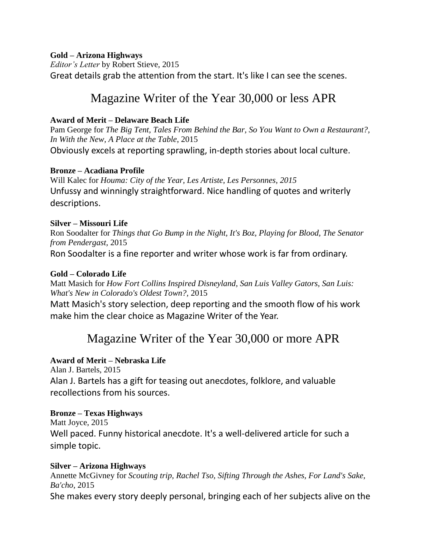#### **Gold – Arizona Highways**

*Editor's Letter* by Robert Stieve, 2015 Great details grab the attention from the start. It's like I can see the scenes.

## Magazine Writer of the Year 30,000 or less APR

### **Award of Merit – Delaware Beach Life**

Pam George for *The Big Tent, Tales From Behind the Bar, So You Want to Own a Restaurant?, In With the New, A Place at the Table*, 2015 Obviously excels at reporting sprawling, in-depth stories about local culture.

#### **Bronze – Acadiana Profile**

Will Kalec for *Houma: City of the Year, Les Artiste, Les Personnes, 2015* Unfussy and winningly straightforward. Nice handling of quotes and writerly descriptions.

#### **Silver – Missouri Life**

Ron Soodalter for *Things that Go Bump in the Night, It's Boz, Playing for Blood, The Senator from Pendergast,* 2015

Ron Soodalter is a fine reporter and writer whose work is far from ordinary.

#### **Gold – Colorado Life**

Matt Masich for *How Fort Collins Inspired Disneyland, San Luis Valley Gators, San Luis: What's New in Colorado's Oldest Town?,* 2015

Matt Masich's story selection, deep reporting and the smooth flow of his work make him the clear choice as Magazine Writer of the Year.

## Magazine Writer of the Year 30,000 or more APR

## **Award of Merit – Nebraska Life**

Alan J. Bartels, 2015 Alan J. Bartels has a gift for teasing out anecdotes, folklore, and valuable recollections from his sources.

## **Bronze – Texas Highways**

Matt Joyce, 2015 Well paced. Funny historical anecdote. It's a well-delivered article for such a simple topic.

#### **Silver – Arizona Highways**

Annette McGivney for *Scouting trip, Rachel Tso, Sifting Through the Ashes, For Land's Sake, Ba'cho,* 2015 She makes every story deeply personal, bringing each of her subjects alive on the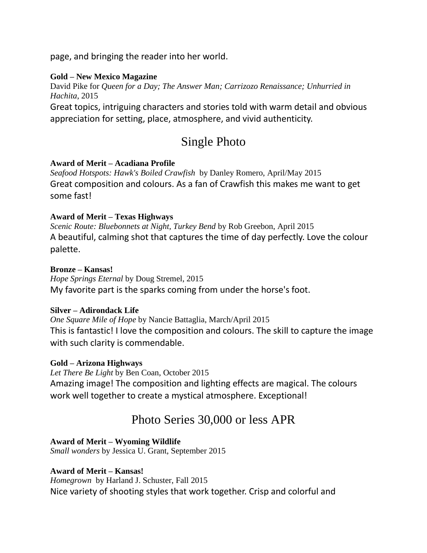page, and bringing the reader into her world.

## **Gold – New Mexico Magazine**

David Pike for *Queen for a Day; The Answer Man; Carrizozo Renaissance; Unhurried in Hachita*, 2015

Great topics, intriguing characters and stories told with warm detail and obvious appreciation for setting, place, atmosphere, and vivid authenticity.

## Single Photo

#### **Award of Merit – Acadiana Profile**

*Seafood Hotspots: Hawk's Boiled Crawfish* by Danley Romero, April/May 2015 Great composition and colours. As a fan of Crawfish this makes me want to get some fast!

#### **Award of Merit – Texas Highways**

*Scenic Route: Bluebonnets at Night, Turkey Bend* by Rob Greebon, April 2015 A beautiful, calming shot that captures the time of day perfectly. Love the colour palette.

#### **Bronze – Kansas!**

*Hope Springs Eternal* by Doug Stremel, 2015 My favorite part is the sparks coming from under the horse's foot.

#### **Silver – Adirondack Life**

*One Square Mile of Hope* by Nancie Battaglia, March/April 2015 This is fantastic! I love the composition and colours. The skill to capture the image with such clarity is commendable.

## **Gold – Arizona Highways**

*Let There Be Light* by Ben Coan, October 2015 Amazing image! The composition and lighting effects are magical. The colours work well together to create a mystical atmosphere. Exceptional!

## Photo Series 30,000 or less APR

**Award of Merit – Wyoming Wildlife** *Small wonders* by Jessica U. Grant, September 2015

## **Award of Merit – Kansas!**

*Homegrown* by Harland J. Schuster, Fall 2015 Nice variety of shooting styles that work together. Crisp and colorful and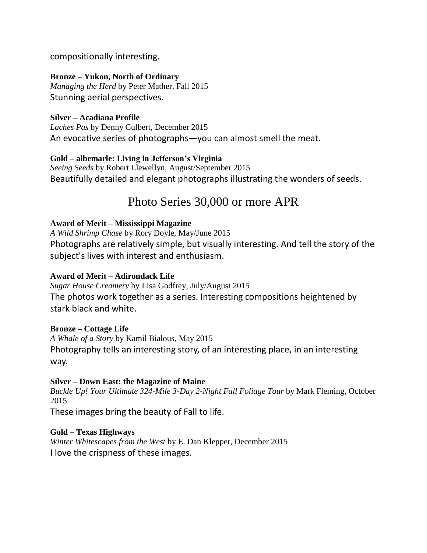compositionally interesting.

## **Bronze – Yukon, North of Ordinary**

*Managing the Herd* by Peter Mather, Fall 2015 Stunning aerial perspectives.

### **Silver – Acadiana Profile**

*Laches Pas* by Denny Culbert, December 2015 An evocative series of photographs—you can almost smell the meat.

## **Gold – albemarle: Living in Jefferson's Virginia**

*Seeing Seeds* by Robert Llewellyn, August/September 2015 Beautifully detailed and elegant photographs illustrating the wonders of seeds.

## Photo Series 30,000 or more APR

#### **Award of Merit – Mississippi Magazine**

*A Wild Shrimp Chase* by Rory Doyle, May/June 2015 Photographs are relatively simple, but visually interesting. And tell the story of the subject's lives with interest and enthusiasm.

#### **Award of Merit – Adirondack Life**

*Sugar House Creamery* by Lisa Godfrey, July/August 2015 The photos work together as a series. Interesting compositions heightened by stark black and white.

#### **Bronze – Cottage Life**

*A Whale of a Story* by Kamil Bialous, May 2015 Photography tells an interesting story, of an interesting place, in an interesting way.

#### **Silver – Down East: the Magazine of Maine**

*Buckle Up! Your Ultimate 324-Mile 3-Day 2-Night Fall Foliage Tour* by Mark Fleming, October 2015

These images bring the beauty of Fall to life.

## **Gold – Texas Highways**

*Winter Whitescapes from the West* by E. Dan Klepper, December 2015 I love the crispness of these images.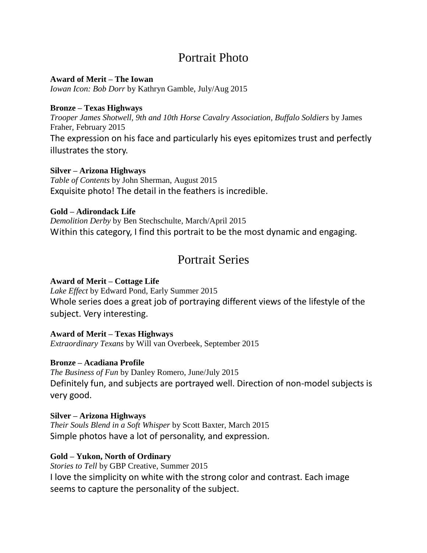## Portrait Photo

#### **Award of Merit – The Iowan**

*Iowan Icon: Bob Dorr* by Kathryn Gamble, July/Aug 2015

#### **Bronze – Texas Highways**

*Trooper James Shotwell, 9th and 10th Horse Cavalry Association, Buffalo Soldiers* by James Fraher, February 2015

The expression on his face and particularly his eyes epitomizes trust and perfectly illustrates the story.

#### **Silver – Arizona Highways**

*Table of Contents* by John Sherman, August 2015 Exquisite photo! The detail in the feathers is incredible.

#### **Gold – Adirondack Life**

*Demolition Derby* by Ben Stechschulte, March/April 2015 Within this category, I find this portrait to be the most dynamic and engaging.

## Portrait Series

### **Award of Merit – Cottage Life**

*Lake Effect* by Edward Pond, Early Summer 2015 Whole series does a great job of portraying different views of the lifestyle of the subject. Very interesting.

**Award of Merit – Texas Highways** *Extraordinary Texans* by Will van Overbeek, September 2015

#### **Bronze – Acadiana Profile**

*The Business of Fun* by Danley Romero, June/July 2015 Definitely fun, and subjects are portrayed well. Direction of non-model subjects is very good.

#### **Silver – Arizona Highways**

*Their Souls Blend in a Soft Whisper* by Scott Baxter, March 2015 Simple photos have a lot of personality, and expression.

#### **Gold – Yukon, North of Ordinary**

*Stories to Tell* by GBP Creative, Summer 2015 I love the simplicity on white with the strong color and contrast. Each image seems to capture the personality of the subject.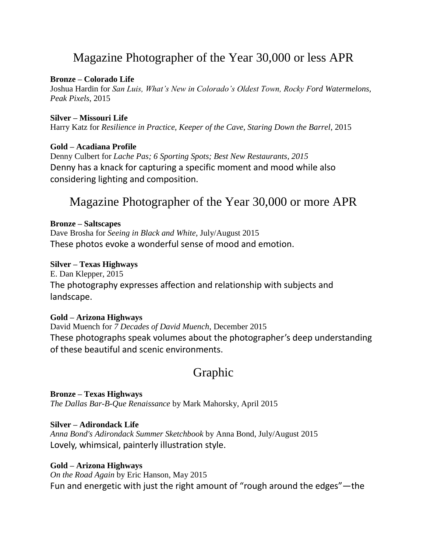## Magazine Photographer of the Year 30,000 or less APR

#### **Bronze – Colorado Life**

Joshua Hardin for *San Luis, What's New in Colorado's Oldest Town, Rocky Ford Watermelons, Peak Pixels*, 2015

#### **Silver – Missouri Life** Harry Katz for *Resilience in Practice, Keeper of the Cave, Staring Down the Barrel*, 2015

#### **Gold – Acadiana Profile**

Denny Culbert for *Lache Pas; 6 Sporting Spots; Best New Restaurants, 2015* Denny has a knack for capturing a specific moment and mood while also considering lighting and composition.

## Magazine Photographer of the Year 30,000 or more APR

#### **Bronze – Saltscapes**

Dave Brosha for *Seeing in Black and White,* July/August 2015 These photos evoke a wonderful sense of mood and emotion.

#### **Silver – Texas Highways**

E. Dan Klepper, 2015 The photography expresses affection and relationship with subjects and landscape.

#### **Gold – Arizona Highways**

David Muench for *7 Decades of David Muench*, December 2015 These photographs speak volumes about the photographer's deep understanding of these beautiful and scenic environments.

## Graphic

**Bronze – Texas Highways** *The Dallas Bar-B-Que Renaissance* by Mark Mahorsky, April 2015

#### **Silver – Adirondack Life**

*Anna Bond's Adirondack Summer Sketchbook* by Anna Bond, July/August 2015 Lovely, whimsical, painterly illustration style.

## **Gold – Arizona Highways**

*On the Road Again* by Eric Hanson, May 2015 Fun and energetic with just the right amount of "rough around the edges"—the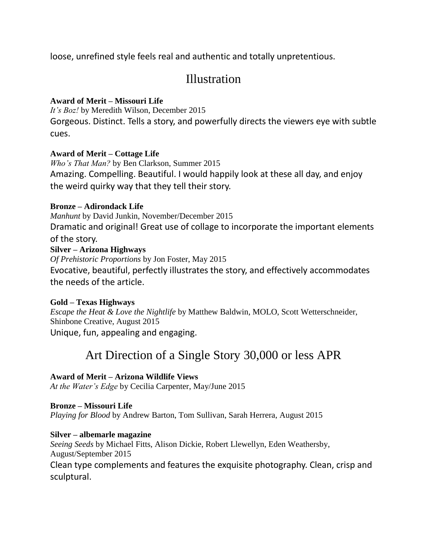loose, unrefined style feels real and authentic and totally unpretentious.

## **Illustration**

## **Award of Merit – Missouri Life**

*It's Boz!* by Meredith Wilson, December 2015 Gorgeous. Distinct. Tells a story, and powerfully directs the viewers eye with subtle cues.

## **Award of Merit – Cottage Life**

*Who's That Man?* by Ben Clarkson, Summer 2015 Amazing. Compelling. Beautiful. I would happily look at these all day, and enjoy the weird quirky way that they tell their story.

## **Bronze – Adirondack Life**

*Manhunt* by David Junkin, November/December 2015 Dramatic and original! Great use of collage to incorporate the important elements of the story.

## **Silver – Arizona Highways**

*Of Prehistoric Proportions* by Jon Foster, May 2015 Evocative, beautiful, perfectly illustrates the story, and effectively accommodates the needs of the article.

## **Gold – Texas Highways**

*Escape the Heat & Love the Nightlife* by Matthew Baldwin, MOLO, Scott Wetterschneider, Shinbone Creative, August 2015 Unique, fun, appealing and engaging.

# Art Direction of a Single Story 30,000 or less APR

## **Award of Merit – Arizona Wildlife Views**

*At the Water's Edge* by Cecilia Carpenter, May/June 2015

## **Bronze – Missouri Life**

*Playing for Blood* by Andrew Barton, Tom Sullivan, Sarah Herrera, August 2015

**Silver – albemarle magazine** *Seeing Seeds* by Michael Fitts, Alison Dickie, Robert Llewellyn, Eden Weathersby, August/September 2015 Clean type complements and features the exquisite photography. Clean, crisp and sculptural.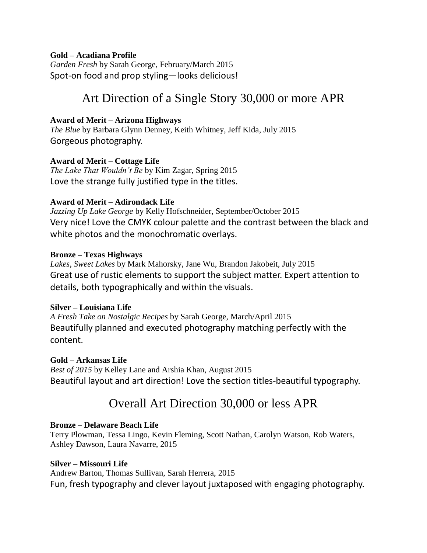#### **Gold – Acadiana Profile**

*Garden Fresh* by Sarah George, February/March 2015 Spot-on food and prop styling—looks delicious!

## Art Direction of a Single Story 30,000 or more APR

#### **Award of Merit – Arizona Highways**

*The Blue* by Barbara Glynn Denney, Keith Whitney, Jeff Kida, July 2015 Gorgeous photography.

#### **Award of Merit – Cottage Life**

*The Lake That Wouldn't Be* by Kim Zagar, Spring 2015 Love the strange fully justified type in the titles.

#### **Award of Merit – Adirondack Life**

*Jazzing Up Lake George* by Kelly Hofschneider, September/October 2015 Very nice! Love the CMYK colour palette and the contrast between the black and white photos and the monochromatic overlays.

#### **Bronze – Texas Highways**

*Lakes, Sweet Lakes* by Mark Mahorsky, Jane Wu, Brandon Jakobeit, July 2015 Great use of rustic elements to support the subject matter. Expert attention to details, both typographically and within the visuals.

#### **Silver – Louisiana Life**

*A Fresh Take on Nostalgic Recipes* by Sarah George, March/April 2015 Beautifully planned and executed photography matching perfectly with the content.

#### **Gold – Arkansas Life**

*Best of 2015* by Kelley Lane and Arshia Khan, August 2015 Beautiful layout and art direction! Love the section titles-beautiful typography.

## Overall Art Direction 30,000 or less APR

#### **Bronze – Delaware Beach Life**

Terry Plowman, Tessa Lingo, Kevin Fleming, Scott Nathan, Carolyn Watson, Rob Waters, Ashley Dawson, Laura Navarre, 2015

#### **Silver – Missouri Life**

Andrew Barton, Thomas Sullivan, Sarah Herrera, 2015 Fun, fresh typography and clever layout juxtaposed with engaging photography.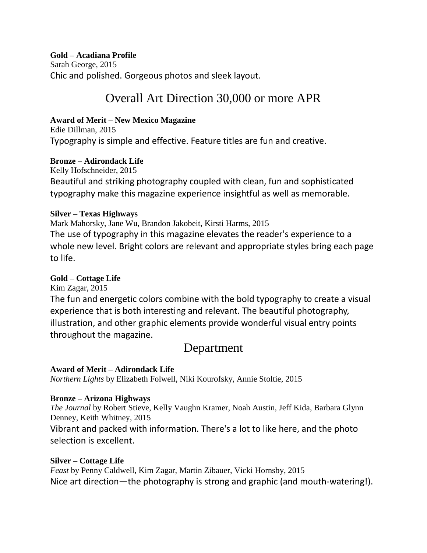**Gold – Acadiana Profile**

Sarah George, 2015 Chic and polished. Gorgeous photos and sleek layout.

# Overall Art Direction 30,000 or more APR

## **Award of Merit – New Mexico Magazine**

Edie Dillman, 2015 Typography is simple and effective. Feature titles are fun and creative.

## **Bronze – Adirondack Life**

Kelly Hofschneider, 2015 Beautiful and striking photography coupled with clean, fun and sophisticated typography make this magazine experience insightful as well as memorable.

## **Silver – Texas Highways**

Mark Mahorsky, Jane Wu, Brandon Jakobeit, Kirsti Harms, 2015 The use of typography in this magazine elevates the reader's experience to a whole new level. Bright colors are relevant and appropriate styles bring each page to life.

## **Gold – Cottage Life**

Kim Zagar, 2015

The fun and energetic colors combine with the bold typography to create a visual experience that is both interesting and relevant. The beautiful photography, illustration, and other graphic elements provide wonderful visual entry points throughout the magazine.

## Department

**Award of Merit – Adirondack Life** *Northern Lights* by Elizabeth Folwell, Niki Kourofsky, Annie Stoltie, 2015

## **Bronze – Arizona Highways**

*The Journal* by Robert Stieve, Kelly Vaughn Kramer, Noah Austin, Jeff Kida, Barbara Glynn Denney, Keith Whitney, 2015 Vibrant and packed with information. There's a lot to like here, and the photo

selection is excellent.

**Silver – Cottage Life** *Feast* by Penny Caldwell, Kim Zagar, Martin Zibauer, Vicki Hornsby, 2015 Nice art direction—the photography is strong and graphic (and mouth-watering!).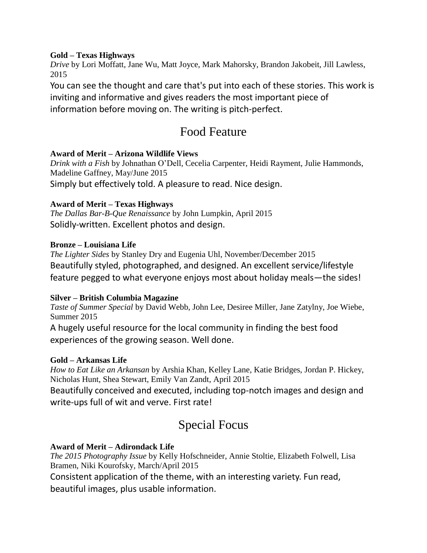#### **Gold – Texas Highways**

*Drive* by Lori Moffatt, Jane Wu, Matt Joyce, Mark Mahorsky, Brandon Jakobeit, Jill Lawless, 2015

You can see the thought and care that's put into each of these stories. This work is inviting and informative and gives readers the most important piece of information before moving on. The writing is pitch-perfect.

# Food Feature

## **Award of Merit – Arizona Wildlife Views**

*Drink with a Fish* by Johnathan O'Dell, Cecelia Carpenter, Heidi Rayment, Julie Hammonds, Madeline Gaffney, May/June 2015 Simply but effectively told. A pleasure to read. Nice design.

## **Award of Merit – Texas Highways**

*The Dallas Bar-B-Que Renaissance* by John Lumpkin, April 2015 Solidly-written. Excellent photos and design.

#### **Bronze – Louisiana Life**

*The Lighter Sides* by Stanley Dry and Eugenia Uhl, November/December 2015 Beautifully styled, photographed, and designed. An excellent service/lifestyle feature pegged to what everyone enjoys most about holiday meals—the sides!

## **Silver – British Columbia Magazine**

*Taste of Summer Special* by David Webb, John Lee, Desiree Miller, Jane Zatylny, Joe Wiebe, Summer 2015

A hugely useful resource for the local community in finding the best food experiences of the growing season. Well done.

#### **Gold – Arkansas Life**

*How to Eat Like an Arkansan* by Arshia Khan, Kelley Lane, Katie Bridges, Jordan P. Hickey, Nicholas Hunt, Shea Stewart, Emily Van Zandt, April 2015

Beautifully conceived and executed, including top-notch images and design and write-ups full of wit and verve. First rate!

# Special Focus

## **Award of Merit – Adirondack Life**

*The 2015 Photography Issue* by Kelly Hofschneider, Annie Stoltie, Elizabeth Folwell, Lisa Bramen, Niki Kourofsky, March/April 2015

Consistent application of the theme, with an interesting variety. Fun read, beautiful images, plus usable information.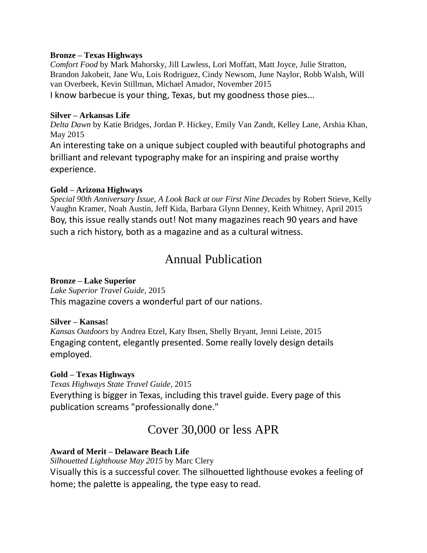#### **Bronze – Texas Highways**

*Comfort Food* by Mark Mahorsky, Jill Lawless, Lori Moffatt, Matt Joyce, Julie Stratton, Brandon Jakobeit, Jane Wu, Lois Rodriguez, Cindy Newsom, June Naylor, Robb Walsh, Will van Overbeek, Kevin Stillman, Michael Amador, November 2015 I know barbecue is your thing, Texas, but my goodness those pies...

#### **Silver – Arkansas Life**

*Delta Dawn* by Katie Bridges, Jordan P. Hickey, Emily Van Zandt, Kelley Lane, Arshia Khan, May 2015

An interesting take on a unique subject coupled with beautiful photographs and brilliant and relevant typography make for an inspiring and praise worthy experience.

#### **Gold – Arizona Highways**

*Special 90th Anniversary Issue, A Look Back at our First Nine Decades* by Robert Stieve, Kelly Vaughn Kramer, Noah Austin, Jeff Kida, Barbara Glynn Denney, Keith Whitney, April 2015 Boy, this issue really stands out! Not many magazines reach 90 years and have such a rich history, both as a magazine and as a cultural witness.

## Annual Publication

#### **Bronze – Lake Superior**

#### *Lake Superior Travel Guide*, 2015

This magazine covers a wonderful part of our nations.

#### **Silver – Kansas!**

*Kansas Outdoors* by Andrea Etzel, Katy Ibsen, Shelly Bryant, Jenni Leiste, 2015 Engaging content, elegantly presented. Some really lovely design details employed.

## **Gold – Texas Highways**

*Texas Highways State Travel Guide,* 2015 Everything is bigger in Texas, including this travel guide. Every page of this publication screams "professionally done."

## Cover 30,000 or less APR

## **Award of Merit – Delaware Beach Life**

*Silhouetted Lighthouse May 2015* by Marc Clery

Visually this is a successful cover. The silhouetted lighthouse evokes a feeling of home; the palette is appealing, the type easy to read.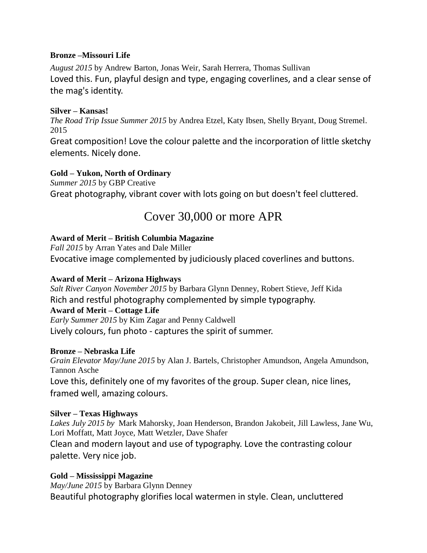#### **Bronze –Missouri Life**

*August 2015* by Andrew Barton, Jonas Weir, Sarah Herrera, Thomas Sullivan Loved this. Fun, playful design and type, engaging coverlines, and a clear sense of the mag's identity.

#### **Silver – Kansas!**

*The Road Trip Issue Summer 2015* by Andrea Etzel, Katy Ibsen, Shelly Bryant, Doug Stremel. 2015

Great composition! Love the colour palette and the incorporation of little sketchy elements. Nicely done.

## **Gold – Yukon, North of Ordinary**

*Summer 2015* by GBP Creative Great photography, vibrant cover with lots going on but doesn't feel cluttered.

## Cover 30,000 or more APR

## **Award of Merit – British Columbia Magazine**

*Fall 2015* by Arran Yates and Dale Miller Evocative image complemented by judiciously placed coverlines and buttons.

## **Award of Merit – Arizona Highways**

*Salt River Canyon November 2015* by Barbara Glynn Denney, Robert Stieve, Jeff Kida Rich and restful photography complemented by simple typography.

## **Award of Merit – Cottage Life**

*Early Summer 2015* by Kim Zagar and Penny Caldwell

Lively colours, fun photo - captures the spirit of summer.

## **Bronze – Nebraska Life**

*Grain Elevator May/June 2015* by Alan J. Bartels, Christopher Amundson, Angela Amundson, Tannon Asche Love this, definitely one of my favorites of the group. Super clean, nice lines,

framed well, amazing colours.

## **Silver – Texas Highways**

*Lakes July 2015 by* Mark Mahorsky, Joan Henderson, Brandon Jakobeit, Jill Lawless, Jane Wu, Lori Moffatt, Matt Joyce, Matt Wetzler, Dave Shafer Clean and modern layout and use of typography. Love the contrasting colour palette. Very nice job.

## **Gold – Mississippi Magazine**

*May/June 2015* by Barbara Glynn Denney Beautiful photography glorifies local watermen in style. Clean, uncluttered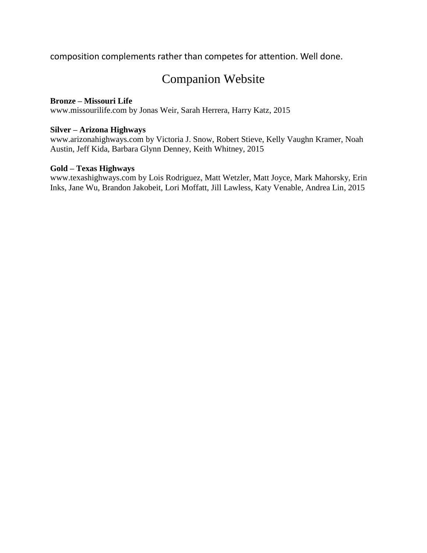composition complements rather than competes for attention. Well done.

# Companion Website

#### **Bronze – Missouri Life**

www.missourilife.com by Jonas Weir, Sarah Herrera, Harry Katz, 2015

#### **Silver – Arizona Highways**

www.arizonahighways.com by Victoria J. Snow, Robert Stieve, Kelly Vaughn Kramer, Noah Austin, Jeff Kida, Barbara Glynn Denney, Keith Whitney, 2015

#### **Gold – Texas Highways**

www.texashighways.com by Lois Rodriguez, Matt Wetzler, Matt Joyce, Mark Mahorsky, Erin Inks, Jane Wu, Brandon Jakobeit, Lori Moffatt, Jill Lawless, Katy Venable, Andrea Lin, 2015